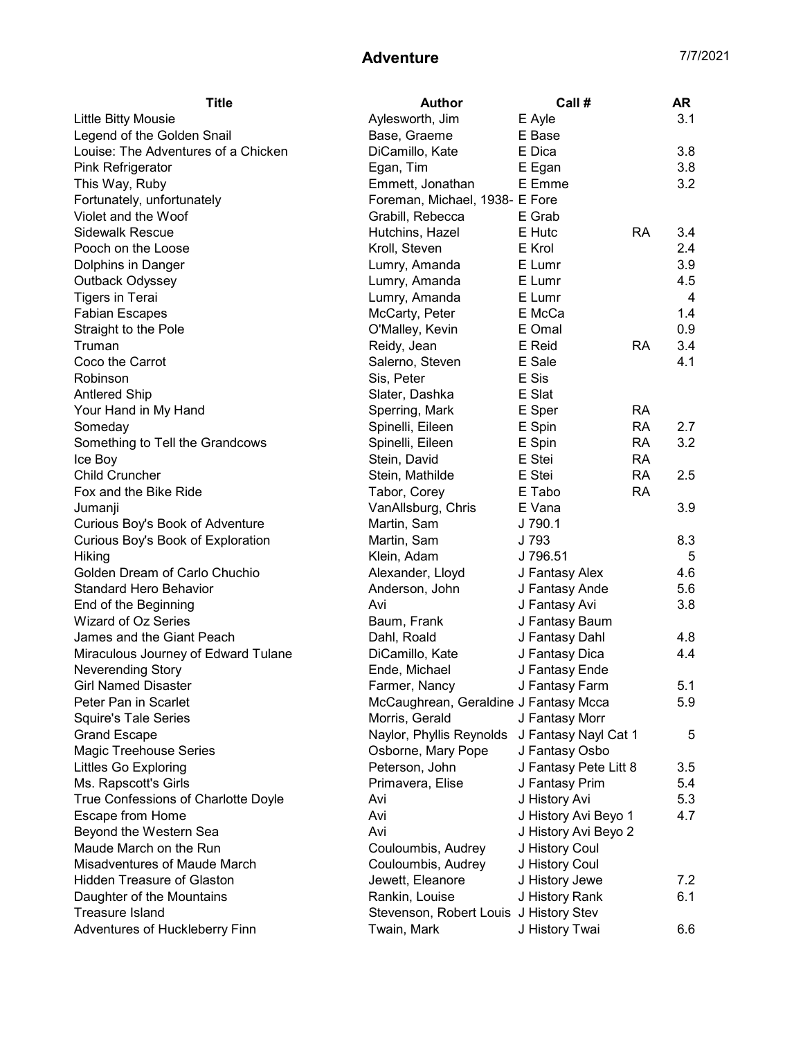## Adventure 7/7/2021

| Title                               | Author                                 | Call#                 |           | AR  |
|-------------------------------------|----------------------------------------|-----------------------|-----------|-----|
| <b>Little Bitty Mousie</b>          | Aylesworth, Jim                        | E Ayle                |           | 3.1 |
| Legend of the Golden Snail          | Base, Graeme                           | E Base                |           |     |
| Louise: The Adventures of a Chicken | DiCamillo, Kate                        | E Dica                |           | 3.8 |
| <b>Pink Refrigerator</b>            | Egan, Tim                              | E Egan                |           | 3.8 |
| This Way, Ruby                      | Emmett, Jonathan                       | E Emme                |           | 3.2 |
| Fortunately, unfortunately          | Foreman, Michael, 1938- E Fore         |                       |           |     |
| Violet and the Woof                 | Grabill, Rebecca                       | E Grab                |           |     |
| <b>Sidewalk Rescue</b>              | Hutchins, Hazel                        | E Hutc                | RA        | 3.4 |
| Pooch on the Loose                  | Kroll, Steven                          | E Krol                |           | 2.4 |
| Dolphins in Danger                  | Lumry, Amanda                          | E Lumr                |           | 3.9 |
| Outback Odyssey                     | Lumry, Amanda                          | E Lumr                |           | 4.5 |
| <b>Tigers in Terai</b>              | Lumry, Amanda                          | E Lumr                |           | 4   |
| <b>Fabian Escapes</b>               | McCarty, Peter                         | E McCa                |           | 1.4 |
| Straight to the Pole                | O'Malley, Kevin                        | E Omal                |           | 0.9 |
| Truman                              | Reidy, Jean                            | E Reid                | <b>RA</b> | 3.4 |
| Coco the Carrot                     | Salerno, Steven                        | E Sale                |           | 4.1 |
| Robinson                            | Sis, Peter                             | E Sis                 |           |     |
| <b>Antlered Ship</b>                | Slater, Dashka                         | E Slat                |           |     |
| Your Hand in My Hand                | Sperring, Mark                         | E Sper                | <b>RA</b> |     |
| Someday                             | Spinelli, Eileen                       | E Spin                | <b>RA</b> | 2.7 |
| Something to Tell the Grandcows     | Spinelli, Eileen                       | E Spin                | <b>RA</b> | 3.2 |
| Ice Boy                             | Stein, David                           | E Stei                | <b>RA</b> |     |
| <b>Child Cruncher</b>               | Stein, Mathilde                        | E Stei                | <b>RA</b> | 2.5 |
| Fox and the Bike Ride               | Tabor, Corey                           | E Tabo                | <b>RA</b> |     |
| Jumanji                             | VanAllsburg, Chris                     | E Vana                |           | 3.9 |
| Curious Boy's Book of Adventure     | Martin, Sam                            | J 790.1               |           |     |
| Curious Boy's Book of Exploration   | Martin, Sam                            | J 793                 |           | 8.3 |
| Hiking                              | Klein, Adam                            | J 796.51              |           | 5   |
| Golden Dream of Carlo Chuchio       | Alexander, Lloyd                       | J Fantasy Alex        |           | 4.6 |
| <b>Standard Hero Behavior</b>       | Anderson, John                         | J Fantasy Ande        |           | 5.6 |
| End of the Beginning                | Avi                                    | J Fantasy Avi         |           | 3.8 |
| Wizard of Oz Series                 | Baum, Frank                            | J Fantasy Baum        |           |     |
| James and the Giant Peach           | Dahl, Roald                            | J Fantasy Dahl        |           | 4.8 |
| Miraculous Journey of Edward Tulane | DiCamillo, Kate                        | J Fantasy Dica        |           | 4.4 |
| <b>Neverending Story</b>            | Ende, Michael                          | J Fantasy Ende        |           |     |
| <b>Girl Named Disaster</b>          | Farmer, Nancy                          | J Fantasy Farm        |           | 5.1 |
| Peter Pan in Scarlet                | McCaughrean, Geraldine J Fantasy Mcca  |                       |           | 5.9 |
| <b>Squire's Tale Series</b>         | Morris, Gerald                         | J Fantasy Morr        |           |     |
| <b>Grand Escape</b>                 | Naylor, Phyllis Reynolds               | J Fantasy Nayl Cat 1  |           | 5   |
| <b>Magic Treehouse Series</b>       | Osborne, Mary Pope                     | J Fantasy Osbo        |           |     |
| Littles Go Exploring                | Peterson, John                         | J Fantasy Pete Litt 8 |           | 3.5 |
| Ms. Rapscott's Girls                | Primavera, Elise                       | J Fantasy Prim        |           | 5.4 |
| True Confessions of Charlotte Doyle | Avi                                    | J History Avi         |           | 5.3 |
| Escape from Home                    | Avi                                    | J History Avi Beyo 1  |           | 4.7 |
| Beyond the Western Sea              | Avi                                    | J History Avi Beyo 2  |           |     |
| Maude March on the Run              | Couloumbis, Audrey                     | J History Coul        |           |     |
| Misadventures of Maude March        | Couloumbis, Audrey                     | J History Coul        |           |     |
| <b>Hidden Treasure of Glaston</b>   | Jewett, Eleanore                       | J History Jewe        |           | 7.2 |
| Daughter of the Mountains           | Rankin, Louise                         | J History Rank        |           | 6.1 |
| <b>Treasure Island</b>              | Stevenson, Robert Louis J History Stev |                       |           |     |
| Adventures of Huckleberry Finn      | Twain, Mark                            | J History Twai        |           | 6.6 |